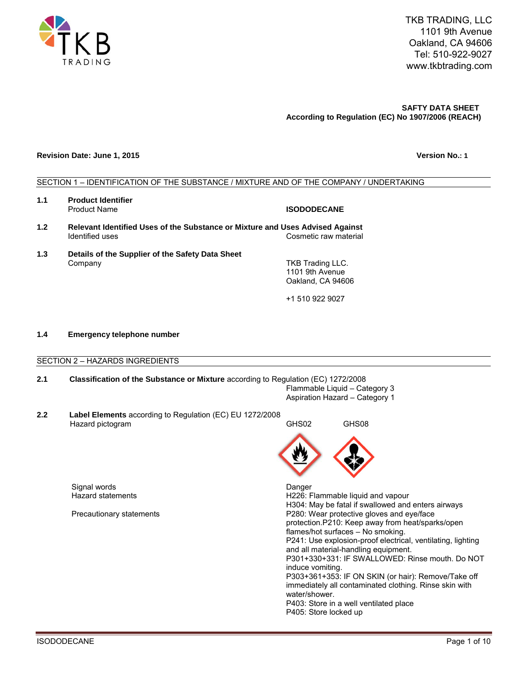

### **Revision Date: June 1, 2015 Version No.: 1**

# SECTION 1 – IDENTIFICATION OF THE SUBSTANCE / MIXTURE AND OF THE COMPANY / UNDERTAKING

- **1.1 Product Identifier**
- **1.2 Relevant Identified Uses of the Substance or Mixture and Uses Advised Against**  Identified uses **Cosmetic raw material**
- **1.3 Details of the Supplier of the Safety Data Sheet**  Company

+1 510 922 9027

# **1.4 Emergency telephone number**

SECTION 2 – HAZARDS INGREDIENTS

# **2.1 Classification of the Substance or Mixture** according to Regulation (EC) 1272/2008 Flammable Liquid – Category 3 Aspiration Hazard – Category 1

**2.2 Label Elements** according to Regulation (EC) EU 1272/2008 Hazard pictogram GHS02 GHS08

Signal words Danger

H226: Flammable liquid and vapour H304: May be fatal if swallowed and enters airways Precautionary statements P280: Wear protective gloves and eye/face protection.P210: Keep away from heat/sparks/open flames/hot surfaces – No smoking. P241: Use explosion-proof electrical, ventilating, lighting and all material-handling equipment. P301+330+331: IF SWALLOWED: Rinse mouth. Do NOT induce vomiting. P303+361+353: IF ON SKIN (or hair): Remove/Take off immediately all contaminated clothing. Rinse skin with water/shower. P403: Store in a well ventilated place P405: Store locked up



**ISODODECANE** 

TKB Trading LLC. 1101 9th Avenue Oakland, CA 94606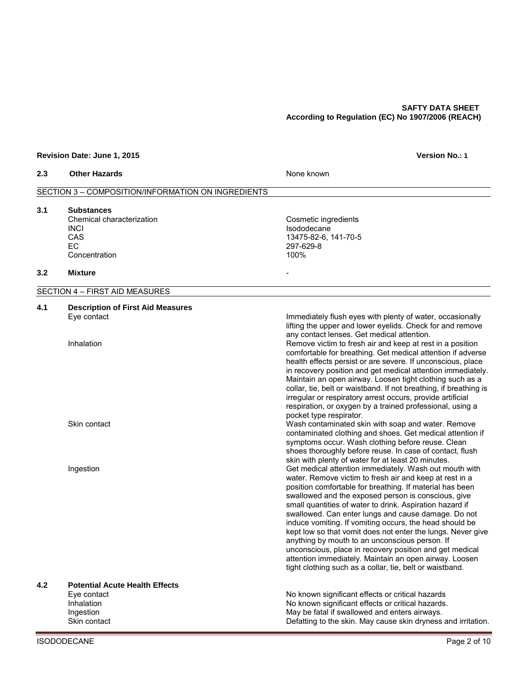# **Revision Date: June 1, 2015 Version No.: 1**

| 2.3 | <b>Other Hazards</b>                                                                        | None known                                                                                                                                                                                                                                                                                                                                                                                                                                                                                                                                                                                                                                                                                                                                                                                                                                                                                                                                                                                                      |
|-----|---------------------------------------------------------------------------------------------|-----------------------------------------------------------------------------------------------------------------------------------------------------------------------------------------------------------------------------------------------------------------------------------------------------------------------------------------------------------------------------------------------------------------------------------------------------------------------------------------------------------------------------------------------------------------------------------------------------------------------------------------------------------------------------------------------------------------------------------------------------------------------------------------------------------------------------------------------------------------------------------------------------------------------------------------------------------------------------------------------------------------|
|     | SECTION 3 - COMPOSITION/INFORMATION ON INGREDIENTS                                          |                                                                                                                                                                                                                                                                                                                                                                                                                                                                                                                                                                                                                                                                                                                                                                                                                                                                                                                                                                                                                 |
| 3.1 | <b>Substances</b><br>Chemical characterization<br><b>INCI</b><br>CAS<br>EC<br>Concentration | Cosmetic ingredients<br>Isododecane<br>13475-82-6, 141-70-5<br>297-629-8<br>100%                                                                                                                                                                                                                                                                                                                                                                                                                                                                                                                                                                                                                                                                                                                                                                                                                                                                                                                                |
| 3.2 | <b>Mixture</b>                                                                              |                                                                                                                                                                                                                                                                                                                                                                                                                                                                                                                                                                                                                                                                                                                                                                                                                                                                                                                                                                                                                 |
|     | SECTION 4 - FIRST AID MEASURES                                                              |                                                                                                                                                                                                                                                                                                                                                                                                                                                                                                                                                                                                                                                                                                                                                                                                                                                                                                                                                                                                                 |
| 4.1 | <b>Description of First Aid Measures</b><br>Eye contact<br>Inhalation<br>Skin contact       | Immediately flush eyes with plenty of water, occasionally<br>lifting the upper and lower eyelids. Check for and remove<br>any contact lenses. Get medical attention.<br>Remove victim to fresh air and keep at rest in a position<br>comfortable for breathing. Get medical attention if adverse<br>health effects persist or are severe. If unconscious, place<br>in recovery position and get medical attention immediately.<br>Maintain an open airway. Loosen tight clothing such as a<br>collar, tie, belt or waistband. If not breathing, if breathing is<br>irregular or respiratory arrest occurs, provide artificial<br>respiration, or oxygen by a trained professional, using a<br>pocket type respirator.<br>Wash contaminated skin with soap and water. Remove<br>contaminated clothing and shoes. Get medical attention if<br>symptoms occur. Wash clothing before reuse. Clean<br>shoes thoroughly before reuse. In case of contact, flush<br>skin with plenty of water for at least 20 minutes. |
|     | Ingestion<br><b>Potential Acute Health Effects</b>                                          | Get medical attention immediately. Wash out mouth with<br>water. Remove victim to fresh air and keep at rest in a<br>position comfortable for breathing. If material has been<br>swallowed and the exposed person is conscious, give<br>small quantities of water to drink. Aspiration hazard if<br>swallowed. Can enter lungs and cause damage. Do not<br>induce vomiting. If vomiting occurs, the head should be<br>kept low so that vomit does not enter the lungs. Never give<br>anything by mouth to an unconscious person. If<br>unconscious, place in recovery position and get medical<br>attention immediately. Maintain an open airway. Loosen<br>tight clothing such as a collar, tie, belt or waistband.                                                                                                                                                                                                                                                                                            |
| 4.2 | Eye contact<br>Inhalation<br>Ingestion<br>Skin contact                                      | No known significant effects or critical hazards<br>No known significant effects or critical hazards.<br>May be fatal if swallowed and enters airways.<br>Defatting to the skin. May cause skin dryness and irritation.                                                                                                                                                                                                                                                                                                                                                                                                                                                                                                                                                                                                                                                                                                                                                                                         |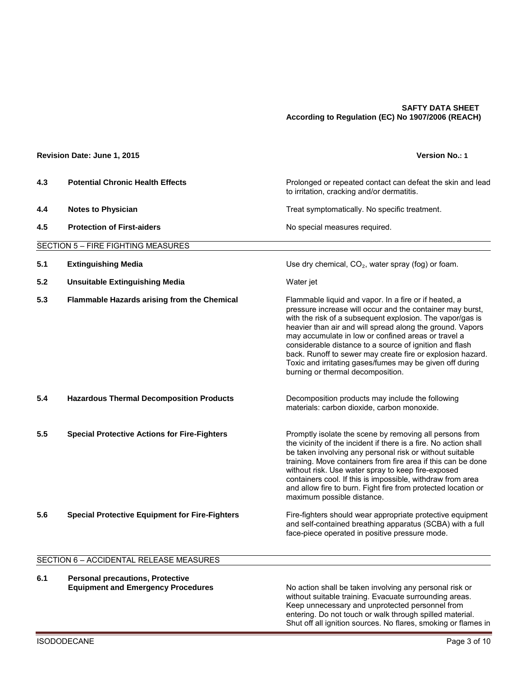|     | Revision Date: June 1, 2015                           | <b>Version No.: 1</b>                                                                                                                                                                                                                                                                                                                                                                                                                                                                                                         |
|-----|-------------------------------------------------------|-------------------------------------------------------------------------------------------------------------------------------------------------------------------------------------------------------------------------------------------------------------------------------------------------------------------------------------------------------------------------------------------------------------------------------------------------------------------------------------------------------------------------------|
| 4.3 | <b>Potential Chronic Health Effects</b>               | Prolonged or repeated contact can defeat the skin and lead<br>to irritation, cracking and/or dermatitis.                                                                                                                                                                                                                                                                                                                                                                                                                      |
| 4.4 | <b>Notes to Physician</b>                             | Treat symptomatically. No specific treatment.                                                                                                                                                                                                                                                                                                                                                                                                                                                                                 |
| 4.5 | <b>Protection of First-aiders</b>                     | No special measures required.                                                                                                                                                                                                                                                                                                                                                                                                                                                                                                 |
|     | <b>SECTION 5 - FIRE FIGHTING MEASURES</b>             |                                                                                                                                                                                                                                                                                                                                                                                                                                                                                                                               |
| 5.1 | <b>Extinguishing Media</b>                            | Use dry chemical, $CO2$ , water spray (fog) or foam.                                                                                                                                                                                                                                                                                                                                                                                                                                                                          |
| 5.2 | <b>Unsuitable Extinguishing Media</b>                 | Water jet                                                                                                                                                                                                                                                                                                                                                                                                                                                                                                                     |
| 5.3 | Flammable Hazards arising from the Chemical           | Flammable liquid and vapor. In a fire or if heated, a<br>pressure increase will occur and the container may burst,<br>with the risk of a subsequent explosion. The vapor/gas is<br>heavier than air and will spread along the ground. Vapors<br>may accumulate in low or confined areas or travel a<br>considerable distance to a source of ignition and flash<br>back. Runoff to sewer may create fire or explosion hazard.<br>Toxic and irritating gases/fumes may be given off during<br>burning or thermal decomposition. |
| 5.4 | <b>Hazardous Thermal Decomposition Products</b>       | Decomposition products may include the following<br>materials: carbon dioxide, carbon monoxide.                                                                                                                                                                                                                                                                                                                                                                                                                               |
| 5.5 | <b>Special Protective Actions for Fire-Fighters</b>   | Promptly isolate the scene by removing all persons from<br>the vicinity of the incident if there is a fire. No action shall<br>be taken involving any personal risk or without suitable<br>training. Move containers from fire area if this can be done<br>without risk. Use water spray to keep fire-exposed<br>containers cool. If this is impossible, withdraw from area<br>and allow fire to burn. Fight fire from protected location or<br>maximum possible distance.                                                    |
| 5.6 | <b>Special Protective Equipment for Fire-Fighters</b> | Fire-fighters should wear appropriate protective equipment<br>and self-contained breathing apparatus (SCBA) with a full<br>face-piece operated in positive pressure mode.                                                                                                                                                                                                                                                                                                                                                     |

# SECTION 6 – ACCIDENTAL RELEASE MEASURES

**6.1 Personal precautions, Protective**

**Equipment and Emergency Procedures** No action shall be taken involving any personal risk or without suitable training. Evacuate surrounding areas. Keep unnecessary and unprotected personnel from entering. Do not touch or walk through spilled material. Shut off all ignition sources. No flares, smoking or flames in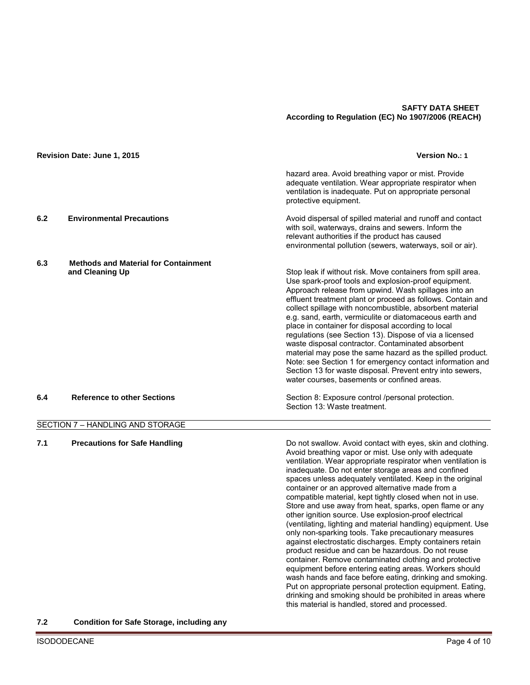|     | Revision Date: June 1, 2015                                    | <b>Version No.: 1</b>                                                                                                                                                                                                                                                                                                                                                                                                                                                                                                                                                                                                                                                                                                                                                                                                                                                                                                                                                                                                                                                                                                                                |
|-----|----------------------------------------------------------------|------------------------------------------------------------------------------------------------------------------------------------------------------------------------------------------------------------------------------------------------------------------------------------------------------------------------------------------------------------------------------------------------------------------------------------------------------------------------------------------------------------------------------------------------------------------------------------------------------------------------------------------------------------------------------------------------------------------------------------------------------------------------------------------------------------------------------------------------------------------------------------------------------------------------------------------------------------------------------------------------------------------------------------------------------------------------------------------------------------------------------------------------------|
|     |                                                                | hazard area. Avoid breathing vapor or mist. Provide<br>adequate ventilation. Wear appropriate respirator when<br>ventilation is inadequate. Put on appropriate personal<br>protective equipment.                                                                                                                                                                                                                                                                                                                                                                                                                                                                                                                                                                                                                                                                                                                                                                                                                                                                                                                                                     |
| 6.2 | <b>Environmental Precautions</b>                               | Avoid dispersal of spilled material and runoff and contact<br>with soil, waterways, drains and sewers. Inform the<br>relevant authorities if the product has caused<br>environmental pollution (sewers, waterways, soil or air).                                                                                                                                                                                                                                                                                                                                                                                                                                                                                                                                                                                                                                                                                                                                                                                                                                                                                                                     |
| 6.3 | <b>Methods and Material for Containment</b><br>and Cleaning Up | Stop leak if without risk. Move containers from spill area.<br>Use spark-proof tools and explosion-proof equipment.<br>Approach release from upwind. Wash spillages into an<br>effluent treatment plant or proceed as follows. Contain and<br>collect spillage with noncombustible, absorbent material<br>e.g. sand, earth, vermiculite or diatomaceous earth and<br>place in container for disposal according to local<br>regulations (see Section 13). Dispose of via a licensed<br>waste disposal contractor. Contaminated absorbent<br>material may pose the same hazard as the spilled product.<br>Note: see Section 1 for emergency contact information and<br>Section 13 for waste disposal. Prevent entry into sewers,<br>water courses, basements or confined areas.                                                                                                                                                                                                                                                                                                                                                                        |
| 6.4 | <b>Reference to other Sections</b>                             | Section 8: Exposure control /personal protection.<br>Section 13: Waste treatment.                                                                                                                                                                                                                                                                                                                                                                                                                                                                                                                                                                                                                                                                                                                                                                                                                                                                                                                                                                                                                                                                    |
|     | SECTION 7 - HANDLING AND STORAGE                               |                                                                                                                                                                                                                                                                                                                                                                                                                                                                                                                                                                                                                                                                                                                                                                                                                                                                                                                                                                                                                                                                                                                                                      |
| 7.1 | <b>Precautions for Safe Handling</b>                           | Do not swallow. Avoid contact with eyes, skin and clothing.<br>Avoid breathing vapor or mist. Use only with adequate<br>ventilation. Wear appropriate respirator when ventilation is<br>inadequate. Do not enter storage areas and confined<br>spaces unless adequately ventilated. Keep in the original<br>container or an approved alternative made from a<br>compatible material, kept tightly closed when not in use.<br>Store and use away from heat, sparks, open flame or any<br>other ignition source. Use explosion-proof electrical<br>(ventilating, lighting and material handling) equipment. Use<br>only non-sparking tools. Take precautionary measures<br>against electrostatic discharges. Empty containers retain<br>product residue and can be hazardous. Do not reuse<br>container. Remove contaminated clothing and protective<br>equipment before entering eating areas. Workers should<br>wash hands and face before eating, drinking and smoking.<br>Put on appropriate personal protection equipment. Eating,<br>drinking and smoking should be prohibited in areas where<br>this material is handled, stored and processed. |

**7.2 Condition for Safe Storage, including any**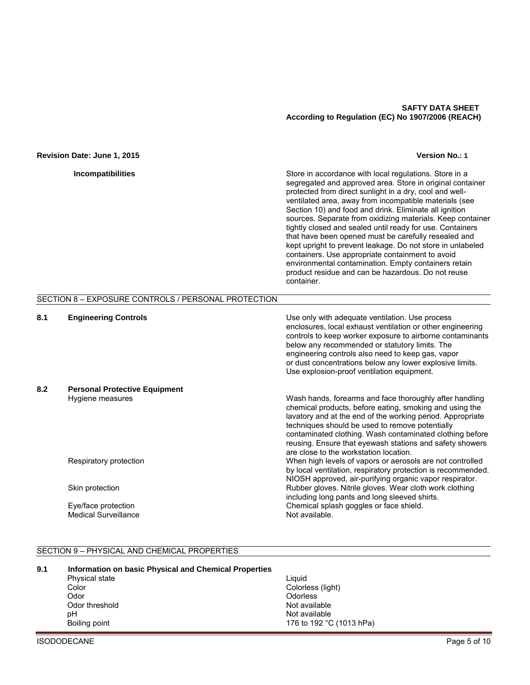#### **Revision Date: June 1, 2015 Version No.: 1**

| <b>Incompatibilities</b> |  |  |
|--------------------------|--|--|
|                          |  |  |

Store in accordance with local regulations. Store in a segregated and approved area. Store in original container protected from direct sunlight in a dry, cool and wellventilated area, away from incompatible materials (see Section 10) and food and drink. Eliminate all ignition sources. Separate from oxidizing materials. Keep container tightly closed and sealed until ready for use. Containers that have been opened must be carefully resealed and kept upright to prevent leakage. Do not store in unlabeled containers. Use appropriate containment to avoid environmental contamination. Empty containers retain product residue and can be hazardous. Do not reuse container.

# SECTION 8 – EXPOSURE CONTROLS / PERSONAL PROTECTION

**8.1 Engineering Controls** Use only with adequate ventilation. Use process

|     |                                      | $\cdots$ , $\cdots$ . and operator . of the set of $\cdots$<br>enclosures, local exhaust ventilation or other engineering<br>controls to keep worker exposure to airborne contaminants<br>below any recommended or statutory limits. The<br>engineering controls also need to keep gas, vapor<br>or dust concentrations below any lower explosive limits.<br>Use explosion-proof ventilation equipment. |
|-----|--------------------------------------|---------------------------------------------------------------------------------------------------------------------------------------------------------------------------------------------------------------------------------------------------------------------------------------------------------------------------------------------------------------------------------------------------------|
| 8.2 | <b>Personal Protective Equipment</b> |                                                                                                                                                                                                                                                                                                                                                                                                         |
|     | Hygiene measures                     | Wash hands, forearms and face thoroughly after handling<br>chemical products, before eating, smoking and using the<br>lavatory and at the end of the working period. Appropriate<br>techniques should be used to remove potentially<br>contaminated clothing. Wash contaminated clothing before<br>reusing. Ensure that eyewash stations and safety showers<br>are close to the workstation location.   |
|     | Respiratory protection               | When high levels of vapors or aerosols are not controlled<br>by local ventilation, respiratory protection is recommended.<br>NIOSH approved, air-purifying organic vapor respirator.                                                                                                                                                                                                                    |
|     | Skin protection                      | Rubber gloves. Nitrile gloves. Wear cloth work clothing<br>including long pants and long sleeved shirts.                                                                                                                                                                                                                                                                                                |
|     | Eye/face protection                  | Chemical splash goggles or face shield.                                                                                                                                                                                                                                                                                                                                                                 |
|     | <b>Medical Surveillance</b>          | Not available.                                                                                                                                                                                                                                                                                                                                                                                          |

# SECTION 9 – PHYSICAL AND CHEMICAL PROPERTIES

#### **9.1 Information on basic Physical and Chemical Properties**

| Liauid  |
|---------|
| Colorle |
| Odorle  |
| Not av  |
| Not av  |
| 176 to  |
|         |

Colorless (light) **Odorless** Not available Not available 176 to 192 °C (1013 hPa)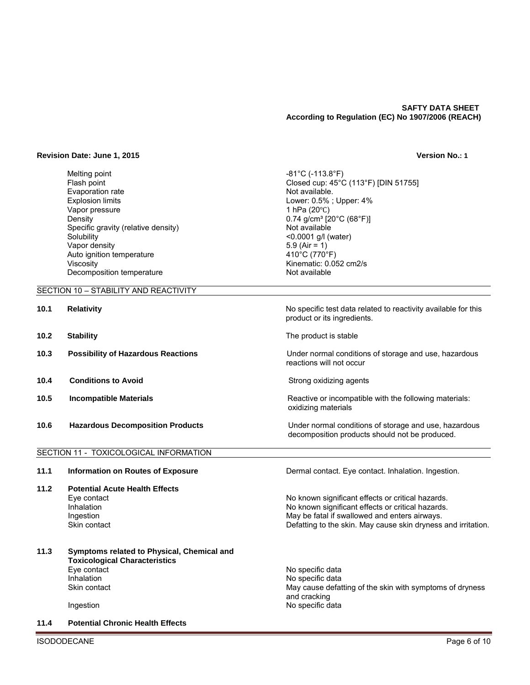Closed cup:  $45^{\circ}$ C (113°F) [DIN 51755]

Lower:  $0.5\%$  ; Upper:  $4\%$ <br>1 hPa (20°C)

 $0.74$  g/cm $3$  [20 $^{\circ}$ C (68 $^{\circ}$ F)]<br>Not available

Kinematic: 0.052 cm2/s<br>Not available

 $<$ 0.0001 g/l (water)

#### **Revision Date: June 1, 2015 Version No.: 1**

Melting point **-81°C (-113.8°F)**<br>Flash point flash point flash point flash point and the set of the set of the set of the set of the set of the s Evaporation rate  $\qquad \qquad$  Not available.<br>Explosion limits  $\qquad \qquad$  Not available. Vapor pressure<br>Density Specific gravity (relative density)<br>Solubility Vapor density 5.9 (Air = 1)<br>Auto ignition temperature 410°C (770°F) Auto ignition temperature<br>Viscosity Decomposition temperature

# SECTION 10 – STABILITY AND REACTIVITY

| 10.1 | <b>Relativity</b>                         | No specific test data related to reactivity available for this<br>product or its ingredients.           |
|------|-------------------------------------------|---------------------------------------------------------------------------------------------------------|
| 10.2 | <b>Stability</b>                          | The product is stable                                                                                   |
| 10.3 | <b>Possibility of Hazardous Reactions</b> | Under normal conditions of storage and use, hazardous<br>reactions will not occur                       |
| 10.4 | <b>Conditions to Avoid</b>                | Strong oxidizing agents                                                                                 |
| 10.5 | <b>Incompatible Materials</b>             | Reactive or incompatible with the following materials:<br>oxidizing materials                           |
| 10.6 | <b>Hazardous Decomposition Products</b>   | Under normal conditions of storage and use, hazardous<br>decomposition products should not be produced. |

**11.1 Information on Routes of Exposure Dermal contact. Eye contact. Inhalation. Ingestion.** 

Eye contact No known significant effects or critical hazards. Inhalation **Inhalation** No known significant effects or critical hazards.

# SECTION 11 - TOXICOLOGICAL INFORMATION

**11.2 Potential Acute Health Effects** 

|      | Ingestion<br>Skin contact                                                          | May be fatal if swallowed and enters airways.<br>Defatting to the skin. May cause skin dryness and irritation. |
|------|------------------------------------------------------------------------------------|----------------------------------------------------------------------------------------------------------------|
| 11.3 | Symptoms related to Physical, Chemical and<br><b>Toxicological Characteristics</b> |                                                                                                                |
|      | Eye contact                                                                        | No specific data                                                                                               |
|      | Inhalation                                                                         | No specific data                                                                                               |
|      | Skin contact                                                                       | May cause defatting of the skin with symptoms of dryness<br>and cracking                                       |
|      | Ingestion                                                                          | No specific data                                                                                               |
|      |                                                                                    |                                                                                                                |

### **11.4 Potential Chronic Health Effects**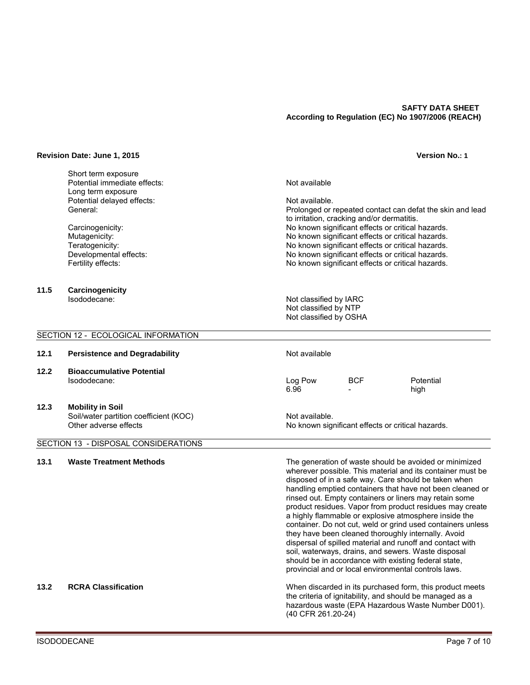#### **Revision Date: June 1, 2015 Version No.: 1**

Short term exposure Potential immediate effects: Not available Long term exposure Potential delayed effects: Not available.<br>Ceneral: Not available. Not available.

**11.5 Carcinogenicity** 

Prolonged or repeated contact can defat the skin and lead to irritation, cracking and/or dermatitis. Carcinogenicity: No known significant effects or critical hazards. Mutagenicity: No known significant effects or critical hazards.<br>Teratogenicity: No known significant effects or critical hazards. Teratogenicity:<br>
Developmental effects:<br>
No known significant effects or critical hazards.<br>
No known significant effects or critical hazards. Developmental effects:  $\blacksquare$  No known significant effects or critical hazards.<br>
No known significant effects or critical hazards. No known significant effects or critical hazards.

Isododecane: Not classified by IARC Not classified by NTP Not classified by OSHA

#### SECTION 12 - ECOLOGICAL INFORMATION

# **12.1** Persistence and Degradability **Not available** Not available **12.2 Bioaccumulative Potential**  Isododecane: Log Pow BCF Potential 6.96 - high **12.3 Mobility in Soil**

Soil/water partition coefficient (KOC) Not available.<br>Other adverse effects Not available. Not available.

# SECTION 13 - DISPOSAL CONSIDERATIONS

**13.1 Waste Treatment Methods** The generation of waste should be avoided or minimized wherever possible. This material and its container must be disposed of in a safe way. Care should be taken when handling emptied containers that have not been cleaned or rinsed out. Empty containers or liners may retain some product residues. Vapor from product residues may create a highly flammable or explosive atmosphere inside the container. Do not cut, weld or grind used containers unless they have been cleaned thoroughly internally. Avoid dispersal of spilled material and runoff and contact with soil, waterways, drains, and sewers. Waste disposal should be in accordance with existing federal state, provincial and or local environmental controls laws.

No known significant effects or critical hazards.

#### **13.2 RCRA Classification** When discarded in its purchased form, this product meets the criteria of ignitability, and should be managed as a hazardous waste (EPA Hazardous Waste Number D001). (40 CFR 261.20-24)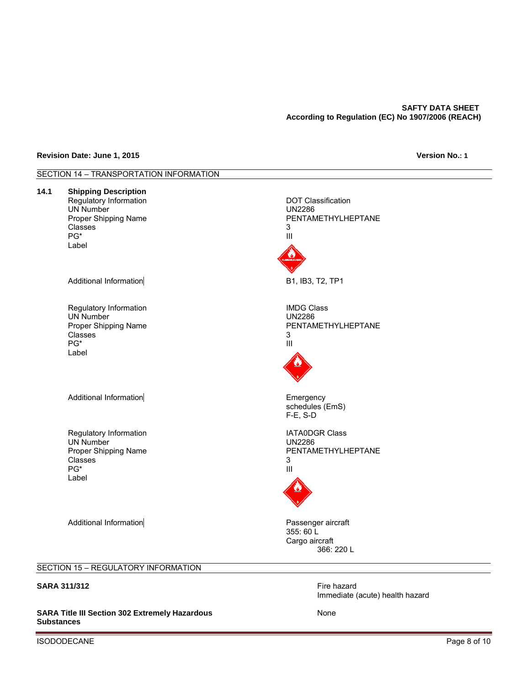#### **Revision Date: June 1, 2015 Version No.: 1**



SARA Title III Section 302 Extremely Hazardous **Manual Accord 2011** None **Substances** 

ISODODECANE Page 8 of 10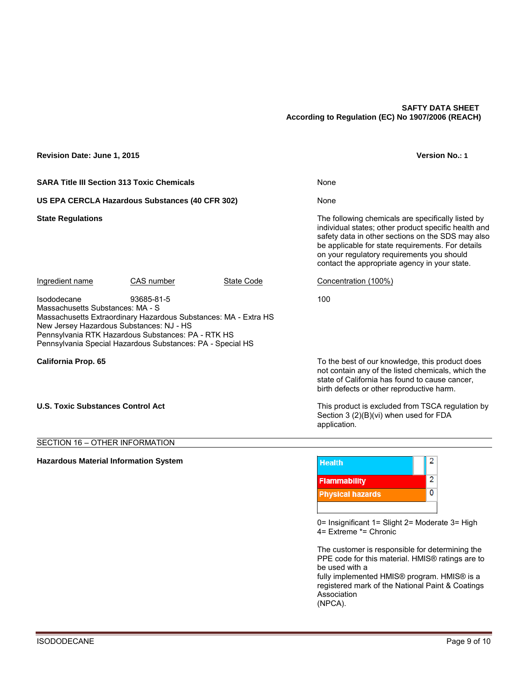# **Revision Date: June 1, 2015 Version No.: 1**

**SARA Title III Section 313 Toxic Chemicals None None** 

US EPA CERCLA Hazardous Substances (40 CFR 302) None

**State Regulations** The following chemicals are specifically listed by individual states; other product specific health and safety data in other sections on the SDS may also be applicable for state requirements. For details on your regulatory requirements you should contact the appropriate agency in your state.

Ingredient name CAS number State Code Concentration (100%)

Isododecane 93685-81-5 100 Massachusetts Substances: MA - S Massachusetts Extraordinary Hazardous Substances: MA - Extra HS New Jersey Hazardous Substances: NJ - HS Pennsylvania RTK Hazardous Substances: PA - RTK HS Pennsylvania Special Hazardous Substances: PA - Special HS

**California Prop. 65** To the best of our knowledge, this product does not contain any of the listed chemicals, which the state of California has found to cause cancer, birth defects or other reproductive harm.

### **U.S. Toxic Substances Control Act This product is excluded from TSCA regulation by**

### SECTION 16 – OTHER INFORMATION

### **Hazardous Material Information System**



Section 3 (2)(B)(vi) when used for FDA

0= Insignificant 1= Slight 2= Moderate 3= High 4= Extreme \*= Chronic

The customer is responsible for determining the PPE code for this material. HMIS® ratings are to be used with a

fully implemented HMIS® program. HMIS® is a registered mark of the National Paint & Coatings Association

(NPCA).

application.